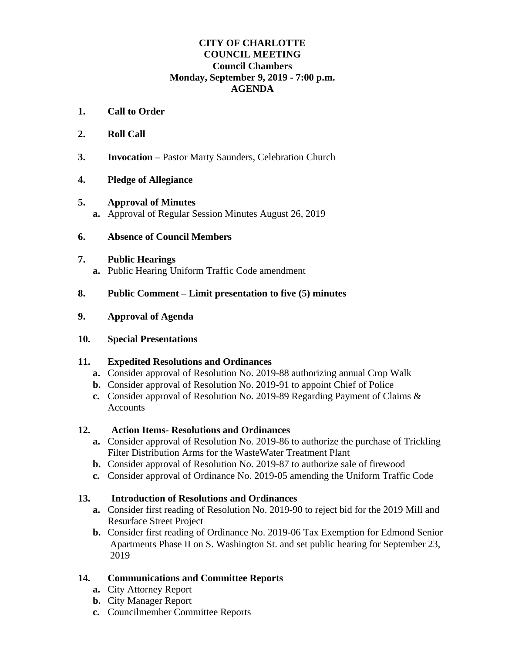## **CITY OF CHARLOTTE COUNCIL MEETING Council Chambers Monday, September 9, 2019 - 7:00 p.m. AGENDA**

- **1. Call to Order**
- **2. Roll Call**
- **3. Invocation –** Pastor Marty Saunders, Celebration Church
- **4. Pledge of Allegiance**
- **5. Approval of Minutes a.** Approval of Regular Session Minutes August 26, 2019
- **6. Absence of Council Members**

#### **7. Public Hearings**

**a.** Public Hearing Uniform Traffic Code amendment

## **8. Public Comment – Limit presentation to five (5) minutes**

**9. Approval of Agenda**

## **10. Special Presentations**

## **11. Expedited Resolutions and Ordinances**

- **a.** Consider approval of Resolution No. 2019-88 authorizing annual Crop Walk
- **b.** Consider approval of Resolution No. 2019-91 to appoint Chief of Police
- **c.** Consider approval of Resolution No. 2019-89 Regarding Payment of Claims & **Accounts**

## **12. Action Items- Resolutions and Ordinances**

- **a.** Consider approval of Resolution No. 2019-86 to authorize the purchase of Trickling Filter Distribution Arms for the WasteWater Treatment Plant
- **b.** Consider approval of Resolution No. 2019-87 to authorize sale of firewood
- **c.** Consider approval of Ordinance No. 2019-05 amending the Uniform Traffic Code

## **13. Introduction of Resolutions and Ordinances**

- **a.** Consider first reading of Resolution No. 2019-90 to reject bid for the 2019 Mill and Resurface Street Project
- **b.** Consider first reading of Ordinance No. 2019-06 Tax Exemption for Edmond Senior Apartments Phase II on S. Washington St. and set public hearing for September 23, 2019

# **14. Communications and Committee Reports**

- **a.** City Attorney Report
- **b.** City Manager Report
- **c.** Councilmember Committee Reports